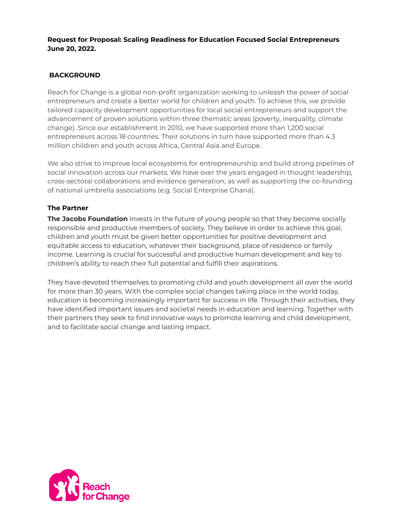### **Request for Proposal: Scaling Readiness for Education Focused Social Entrepreneurs June 20, 2022.**

# **BACKGROUND**

Reach for Change is a global non-profit organization working to unleash the power of social entrepreneurs and create a better world for children and youth. To achieve this, we provide tailored capacity development opportunities for local social entrepreneurs and support the advancement of proven solutions within three thematic areas (poverty, inequality, climate change). Since our establishment in 2010, we have supported more than 1,200 social entrepreneurs across 18 countries. Their solutions in turn have supported more than 4.3 million children and youth across Africa, Central Asia and Europe.

We also strive to improve local ecosystems for entrepreneurship and build strong pipelines of social innovation across our markets. We have over the years engaged in thought leadership, cross-sectoral collaborations and evidence generation, as well as supporting the co-founding of national umbrella associations (e.g. Social Enterprise Ghana).

## **The Partner**

**The Jacobs Foundation** invests in the future of young people so that they become socially responsible and productive members of society. They believe in order to achieve this goal, children and youth must be given better opportunities for positive development and equitable access to education, whatever their background, place of residence or family income. Learning is crucial for successful and productive human development and key to children's ability to reach their full potential and fulfill their aspirations.

They have devoted themselves to promoting child and youth development all over the world for more than 30 years. With the complex social changes taking place in the world today, education is becoming increasingly important for success in life. Through their activities, they have identified important issues and societal needs in education and learning. Together with their partners they seek to find innovative ways to promote learning and child development, and to facilitate social change and lasting impact.

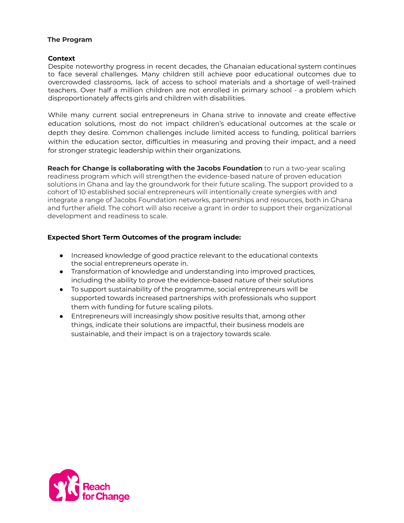#### **The Program**

#### **Context**

Despite noteworthy progress in recent decades, the Ghanaian educational system continues to face several challenges. Many children still achieve poor educational outcomes due to overcrowded classrooms, lack of access to school materials and a shortage of well-trained teachers. Over half a million children are not enrolled in primary school - a problem which disproportionately affects girls and children with disabilities.

While many current social entrepreneurs in Ghana strive to innovate and create effective education solutions, most do not impact children's educational outcomes at the scale or depth they desire. Common challenges include limited access to funding, political barriers within the education sector, difficulties in measuring and proving their impact, and a need for stronger strategic leadership within their organizations.

**Reach for Change is collaborating with the Jacobs Foundation** to run a two-year scaling readiness program which will strengthen the evidence-based nature of proven education solutions in Ghana and lay the groundwork for their future scaling. The support provided to a cohort of 10 established social entrepreneurs will intentionally create synergies with and integrate a range of Jacobs Foundation networks, partnerships and resources, both in Ghana and further afield. The cohort will also receive a grant in order to support their organizational development and readiness to scale.

## **Expected Short Term Outcomes of the program include:**

- Increased knowledge of good practice relevant to the educational contexts the social entrepreneurs operate in.
- Transformation of knowledge and understanding into improved practices, including the ability to prove the evidence-based nature of their solutions
- To support sustainability of the programme, social entrepreneurs will be supported towards increased partnerships with professionals who support them with funding for future scaling pilots.
- Entrepreneurs will increasingly show positive results that, among other things, indicate their solutions are impactful, their business models are sustainable, and their impact is on a trajectory towards scale.